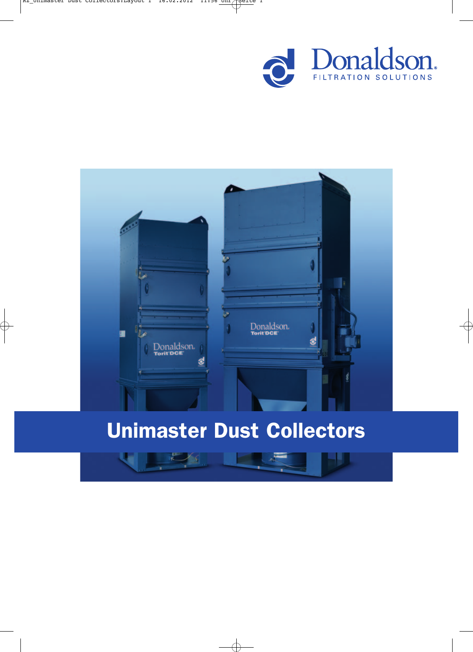



# Unimaster Dust Collectors

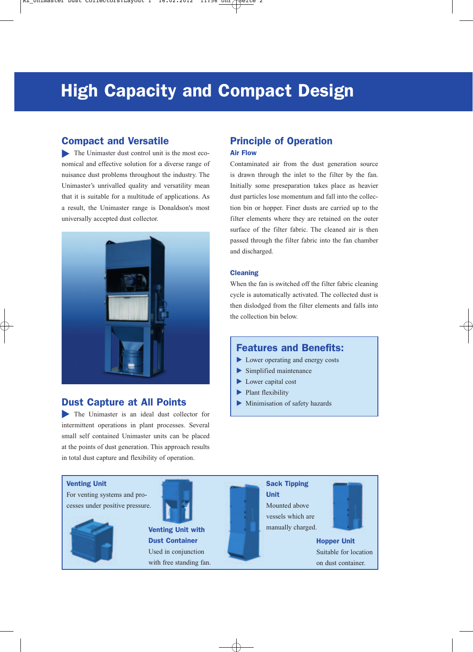## **High Capacity and Compact Design**

## Compact and Versatile

The Unimaster dust control unit is the most economical and effective solution for a diverse range of nuisance dust problems throughout the industry. The Unimaster's unrivalled quality and versatility mean that it is suitable for a multitude of applications. As a result, the Unimaster range is Donaldson's most universally accepted dust collector.



## Dust Capture at All Points

The Unimaster is an ideal dust collector for intermittent operations in plant processes. Several small self contained Unimaster units can be placed at the points of dust generation. This approach results in total dust capture and flexibility of operation.

## Principle of Operation Air Flow

Contaminated air from the dust generation source is drawn through the inlet to the filter by the fan. Initially some preseparation takes place as heavier dust particles lose momentum and fall into the collection bin or hopper. Finer dusts are carried up to the filter elements where they are retained on the outer surface of the filter fabric. The cleaned air is then passed through the filter fabric into the fan chamber and discharged.

#### **Cleaning**

When the fan is switched off the filter fabric cleaning cycle is automatically activated. The collected dust is then dislodged from the filter elements and falls into the collection bin below.

## Features and Benefits:

- Lower operating and energy costs
- Simplified maintenance
- Lower capital cost
- Plant flexibility -
- Minimisation of safety hazards  $\blacktriangleright$

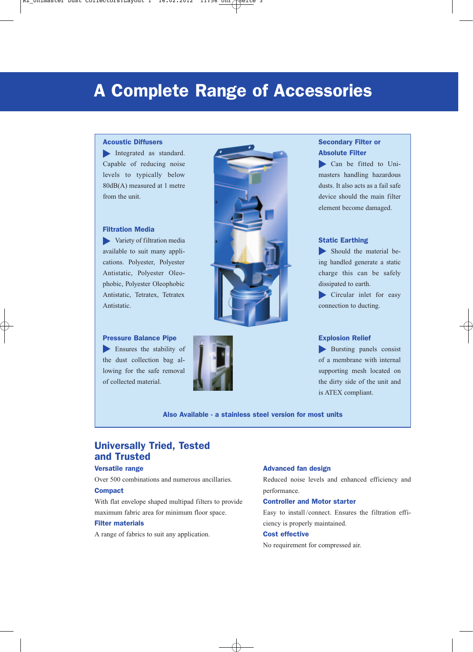## A Complete Range of Accessories

## Acoustic Diffusers

Integrated as standard. Capable of reducing noise levels to typically below 80dB(A) measured at 1 metre from the unit.

#### Filtration Media

variety of filtration media available to suit many applications. Polyester, Polyester Antistatic, Polyester Oleophobic, Polyester Oleophobic Antistatic, Tetratex, Tetratex Antistatic.

Pressure Balance Pipe Ensures the stability of **Figure 1.1** the dust collection bag allowing for the safe removal of collected material.





## Secondary Filter or Absolute Filter

Can be fitted to Unimasters handling hazardous dusts. It also acts as a fail safe device should the main filter element become damaged.

### Static Earthing

Should the material being handled generate a static charge this can be safely dissipated to earth.

Circular inlet for easy connection to ducting.

#### Explosion Relief

Bursting panels consist of a membrane with internal supporting mesh located on the dirty side of the unit and is ATEX compliant.

Also Available - a stainless steel version for most units

## Universally Tried, Tested and Trusted

## Versatile range

Over 500 combinations and numerous ancillaries.

#### Compact

With flat envelope shaped multipad filters to provide maximum fabric area for minimum floor space.

#### Filter materials

A range of fabrics to suit any application.

#### Advanced fan design

Reduced noise levels and enhanced efficiency and performance.

### Controller and Motor starter

Easy to install /connect. Ensures the filtration efficiency is properly maintained.

### Cost effective

No requirement for compressed air.